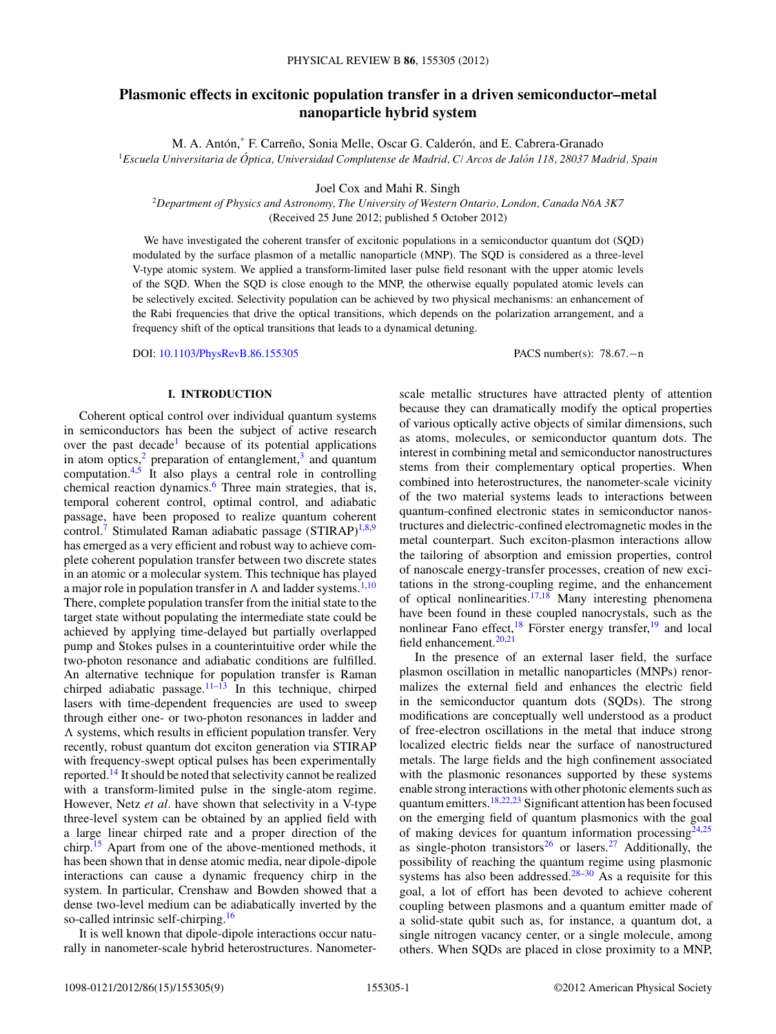# **Plasmonic effects in excitonic population transfer in a driven semiconductor–metal nanoparticle hybrid system**

M. A. Antón, [\\*](#page-7-0) F. Carreño, Sonia Melle, Oscar G. Calderón, and E. Cabrera-Granado <sup>1</sup>*Escuela Universitaria de Optica, Universidad Complutense de Madrid, C/ Arcos de Jal ´ on 118, 28037 Madrid, Spain ´*

Joel Cox and Mahi R. Singh

<sup>2</sup>*Department of Physics and Astronomy, The University of Western Ontario, London, Canada N6A 3K7* (Received 25 June 2012; published 5 October 2012)

We have investigated the coherent transfer of excitonic populations in a semiconductor quantum dot (SQD) modulated by the surface plasmon of a metallic nanoparticle (MNP). The SQD is considered as a three-level V-type atomic system. We applied a transform-limited laser pulse field resonant with the upper atomic levels of the SQD. When the SQD is close enough to the MNP, the otherwise equally populated atomic levels can be selectively excited. Selectivity population can be achieved by two physical mechanisms: an enhancement of the Rabi frequencies that drive the optical transitions, which depends on the polarization arrangement, and a frequency shift of the optical transitions that leads to a dynamical detuning.

DOI: [10.1103/PhysRevB.86.155305](http://dx.doi.org/10.1103/PhysRevB.86.155305) PACS number(s): 78*.*67*.*−n

## **I. INTRODUCTION**

Coherent optical control over individual quantum systems in semiconductors has been the subject of active research over the past decade<sup>1</sup> because of its potential applications in atom optics, $2$  preparation of entanglement, $3$  and quantum computation.<sup>4,5</sup> It also plays a central role in controlling chemical reaction dynamics[.6](#page-7-0) Three main strategies, that is, temporal coherent control, optimal control, and adiabatic passage, have been proposed to realize quantum coherent control.<sup>7</sup> Stimulated Raman adiabatic passage (STIRAP)<sup>[1,8,9](#page-7-0)</sup> has emerged as a very efficient and robust way to achieve complete coherent population transfer between two discrete states in an atomic or a molecular system. This technique has played a major role in population transfer in  $\Lambda$  and ladder systems.<sup>1,10</sup> There, complete population transfer from the initial state to the target state without populating the intermediate state could be achieved by applying time-delayed but partially overlapped pump and Stokes pulses in a counterintuitive order while the two-photon resonance and adiabatic conditions are fulfilled. An alternative technique for population transfer is Raman chirped adiabatic passage.<sup>[11–13](#page-7-0)</sup> In this technique, chirped lasers with time-dependent frequencies are used to sweep through either one- or two-photon resonances in ladder and *-* systems, which results in efficient population transfer. Very recently, robust quantum dot exciton generation via STIRAP with frequency-swept optical pulses has been experimentally reported.[14](#page-7-0) It should be noted that selectivity cannot be realized with a transform-limited pulse in the single-atom regime. However, Netz *et al.* have shown that selectivity in a V-type three-level system can be obtained by an applied field with a large linear chirped rate and a proper direction of the chirp[.15](#page-7-0) Apart from one of the above-mentioned methods, it has been shown that in dense atomic media, near dipole-dipole interactions can cause a dynamic frequency chirp in the system. In particular, Crenshaw and Bowden showed that a dense two-level medium can be adiabatically inverted by the so-called intrinsic self-chirping.<sup>16</sup>

It is well known that dipole-dipole interactions occur naturally in nanometer-scale hybrid heterostructures. Nanometerscale metallic structures have attracted plenty of attention because they can dramatically modify the optical properties of various optically active objects of similar dimensions, such as atoms, molecules, or semiconductor quantum dots. The interest in combining metal and semiconductor nanostructures stems from their complementary optical properties. When combined into heterostructures, the nanometer-scale vicinity of the two material systems leads to interactions between quantum-confined electronic states in semiconductor nanostructures and dielectric-confined electromagnetic modes in the metal counterpart. Such exciton-plasmon interactions allow the tailoring of absorption and emission properties, control of nanoscale energy-transfer processes, creation of new excitations in the strong-coupling regime, and the enhancement of optical nonlinearities. $17,18$  Many interesting phenomena have been found in these coupled nanocrystals, such as the nonlinear Fano effect, $18$  Förster energy transfer, $19$  and local field enhancement[.20,21](#page-7-0)

In the presence of an external laser field, the surface plasmon oscillation in metallic nanoparticles (MNPs) renormalizes the external field and enhances the electric field in the semiconductor quantum dots (SQDs). The strong modifications are conceptually well understood as a product of free-electron oscillations in the metal that induce strong localized electric fields near the surface of nanostructured metals. The large fields and the high confinement associated with the plasmonic resonances supported by these systems enable strong interactions with other photonic elements such as quantum emitters.[18,22,23](#page-7-0) Significant attention has been focused on the emerging field of quantum plasmonics with the goal of making devices for quantum information processing $24.25$ as single-photon transistors<sup>26</sup> or lasers.<sup>[27](#page-7-0)</sup> Additionally, the possibility of reaching the quantum regime using plasmonic systems has also been addressed. $28-30$  As a requisite for this goal, a lot of effort has been devoted to achieve coherent coupling between plasmons and a quantum emitter made of a solid-state qubit such as, for instance, a quantum dot, a single nitrogen vacancy center, or a single molecule, among others. When SQDs are placed in close proximity to a MNP,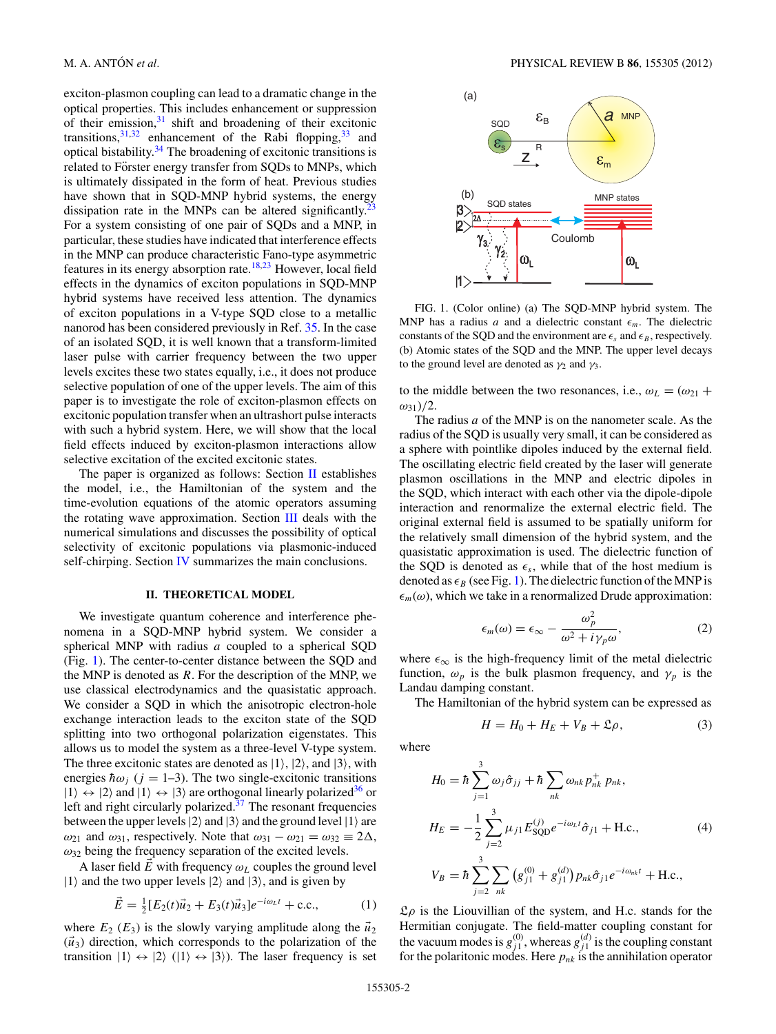<span id="page-1-0"></span>exciton-plasmon coupling can lead to a dramatic change in the optical properties. This includes enhancement or suppression of their emission,<sup>[31](#page-7-0)</sup> shift and broadening of their excitonic transitions,  $31,32$  enhancement of the Rabi flopping,  $33$  and optical bistability.[34](#page-7-0) The broadening of excitonic transitions is related to Förster energy transfer from SQDs to MNPs, which is ultimately dissipated in the form of heat. Previous studies have shown that in SQD-MNP hybrid systems, the energy dissipation rate in the MNPs can be altered significantly.<sup>[23](#page-7-0)</sup> For a system consisting of one pair of SQDs and a MNP, in particular, these studies have indicated that interference effects in the MNP can produce characteristic Fano-type asymmetric features in its energy absorption rate. $18,23$  However, local field effects in the dynamics of exciton populations in SQD-MNP hybrid systems have received less attention. The dynamics of exciton populations in a V-type SQD close to a metallic nanorod has been considered previously in Ref. [35.](#page-7-0) In the case of an isolated SQD, it is well known that a transform-limited laser pulse with carrier frequency between the two upper levels excites these two states equally, i.e., it does not produce selective population of one of the upper levels. The aim of this paper is to investigate the role of exciton-plasmon effects on excitonic population transfer when an ultrashort pulse interacts with such a hybrid system. Here, we will show that the local field effects induced by exciton-plasmon interactions allow selective excitation of the excited excitonic states.

The paper is organized as follows: Section  $\Pi$  establishes the model, i.e., the Hamiltonian of the system and the time-evolution equations of the atomic operators assuming the rotating wave approximation. Section [III](#page-3-0) deals with the numerical simulations and discusses the possibility of optical selectivity of excitonic populations via plasmonic-induced self-chirping. Section [IV](#page-7-0) summarizes the main conclusions.

## **II. THEORETICAL MODEL**

We investigate quantum coherence and interference phenomena in a SQD-MNP hybrid system. We consider a spherical MNP with radius *a* coupled to a spherical SQD (Fig. 1). The center-to-center distance between the SQD and the MNP is denoted as *R*. For the description of the MNP, we use classical electrodynamics and the quasistatic approach. We consider a SQD in which the anisotropic electron-hole exchange interaction leads to the exciton state of the SQD splitting into two orthogonal polarization eigenstates. This allows us to model the system as a three-level V-type system. The three excitonic states are denoted as  $|1\rangle$ ,  $|2\rangle$ , and  $|3\rangle$ , with energies  $\hbar \omega_j$  ( $j = 1-3$ ). The two single-excitonic transitions  $|1\rangle \leftrightarrow |2\rangle$  and  $|1\rangle \leftrightarrow |3\rangle$  are orthogonal linearly polarized<sup>36</sup> or left and right circularly polarized. $37$  The resonant frequencies between the upper levels  $|2\rangle$  and  $|3\rangle$  and the ground level  $|1\rangle$  are *ω*<sub>21</sub> and *ω*<sub>31</sub>, respectively. Note that *ω*<sub>31</sub> − *ω*<sub>21</sub> = *ω*<sub>32</sub> ≡ 2Δ, *ω*<sup>32</sup> being the frequency separation of the excited levels.

A laser field  $E$  with frequency  $\omega_L$  couples the ground level  $|1\rangle$  and the two upper levels  $|2\rangle$  and  $|3\rangle$ , and is given by

$$
\vec{E} = \frac{1}{2} [E_2(t)\vec{u}_2 + E_3(t)\vec{u}_3] e^{-i\omega_L t} + \text{c.c.},\tag{1}
$$

where  $E_2$  ( $E_3$ ) is the slowly varying amplitude along the  $\vec{u}_2$  $(\vec{u}_3)$  direction, which corresponds to the polarization of the transition  $|1\rangle \leftrightarrow |2\rangle$  ( $|1\rangle \leftrightarrow |3\rangle$ ). The laser frequency is set



FIG. 1. (Color online) (a) The SQD-MNP hybrid system. The MNP has a radius *a* and a dielectric constant  $\epsilon_m$ . The dielectric constants of the SQD and the environment are  $\epsilon_s$  and  $\epsilon_B$ , respectively. (b) Atomic states of the SQD and the MNP. The upper level decays to the ground level are denoted as  $\gamma_2$  and  $\gamma_3$ .

to the middle between the two resonances, i.e.,  $\omega_L = (\omega_{21} +$  $\omega_{31})/2$ .

The radius *a* of the MNP is on the nanometer scale. As the radius of the SQD is usually very small, it can be considered as a sphere with pointlike dipoles induced by the external field. The oscillating electric field created by the laser will generate plasmon oscillations in the MNP and electric dipoles in the SQD, which interact with each other via the dipole-dipole interaction and renormalize the external electric field. The original external field is assumed to be spatially uniform for the relatively small dimension of the hybrid system, and the quasistatic approximation is used. The dielectric function of the SQD is denoted as  $\epsilon_s$ , while that of the host medium is denoted as  $\epsilon_B$  (see Fig. 1). The dielectric function of the MNP is  $\epsilon_m(\omega)$ , which we take in a renormalized Drude approximation:

$$
\epsilon_m(\omega) = \epsilon_\infty - \frac{\omega_p^2}{\omega^2 + i\gamma_p \omega},\tag{2}
$$

where  $\epsilon_{\infty}$  is the high-frequency limit of the metal dielectric function,  $\omega_p$  is the bulk plasmon frequency, and  $\gamma_p$  is the Landau damping constant.

The Hamiltonian of the hybrid system can be expressed as

$$
H = H_0 + H_E + V_B + \mathfrak{L}\rho,\tag{3}
$$

where

$$
H_0 = \hbar \sum_{j=1}^3 \omega_j \hat{\sigma}_{jj} + \hbar \sum_{nk} \omega_{nk} p_{nk}^+ p_{nk},
$$
  
\n
$$
H_E = -\frac{1}{2} \sum_{j=2}^3 \mu_{j1} E_{\text{SQD}}^{(j)} e^{-i\omega_L t} \hat{\sigma}_{j1} + \text{H.c.},
$$
\n
$$
V_B = \hbar \sum_{j=2}^3 \sum_{nk} \left( g_{j1}^{(0)} + g_{j1}^{(d)} \right) p_{nk} \hat{\sigma}_{j1} e^{-i\omega_{nk}t} + \text{H.c.},
$$
\n(4)

 $\mathfrak{L}\rho$  is the Liouvillian of the system, and H.c. stands for the Hermitian conjugate. The field-matter coupling constant for the vacuum modes is  $g_{j1}^{(0)}$ , whereas  $g_{j1}^{(d)}$  is the coupling constant for the polaritonic modes. Here  $p_{nk}$  is the annihilation operator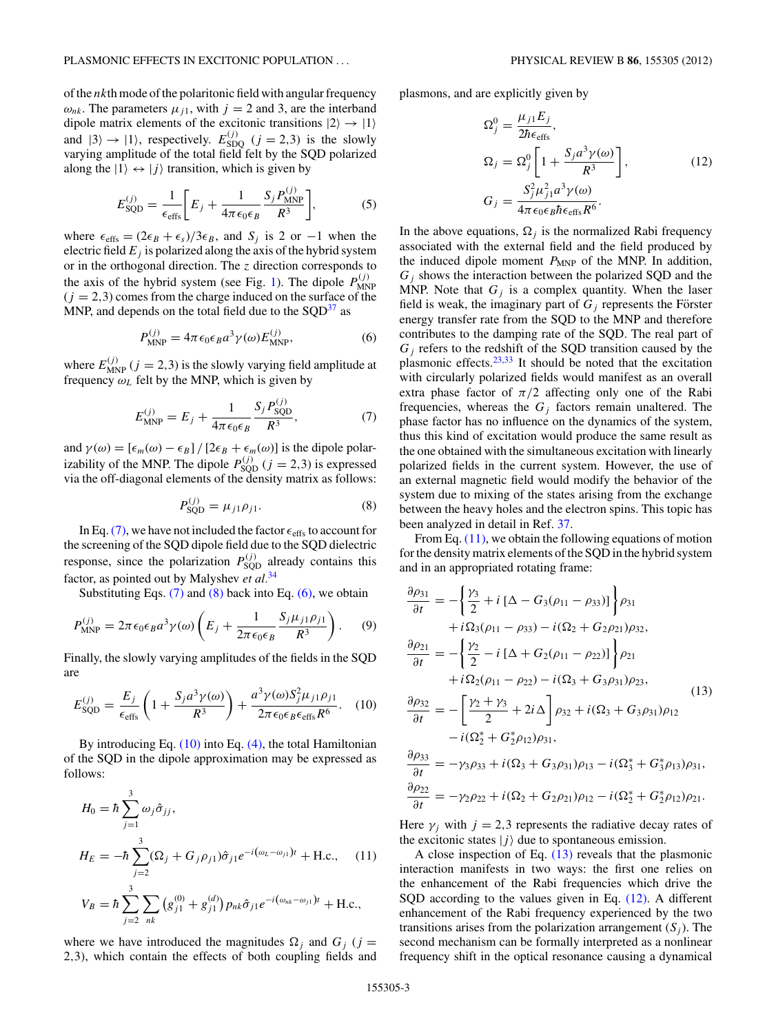<span id="page-2-0"></span>of the *nk*th mode of the polaritonic field with angular frequency  $\omega_{nk}$ . The parameters  $\mu_{j1}$ , with  $j = 2$  and 3, are the interband dipole matrix elements of the excitonic transitions  $|2\rangle \rightarrow |1\rangle$ and  $|3\rangle \rightarrow |1\rangle$ , respectively.  $E_{\text{SDQ}}^{(j)}$  ( $j = 2,3$ ) is the slowly varying amplitude of the total field felt by the SQD polarized along the  $|1\rangle \leftrightarrow |j\rangle$  transition, which is given by

$$
E_{\text{SQD}}^{(j)} = \frac{1}{\epsilon_{\text{effs}}} \left[ E_j + \frac{1}{4\pi \epsilon_0 \epsilon_B} \frac{S_j P_{\text{MNP}}^{(j)}}{R^3} \right],\tag{5}
$$

where  $\epsilon_{\text{effs}} = (2\epsilon_B + \epsilon_s)/3\epsilon_B$ , and *S<sub>i</sub>* is 2 or −1 when the electric field  $E_i$  is polarized along the axis of the hybrid system or in the orthogonal direction. The *z* direction corresponds to the axis of the hybrid system (see Fig. [1\)](#page-1-0). The dipole  $P_{\text{MNP}}^{(j)}$  $(j = 2,3)$  comes from the charge induced on the surface of the MNP, and depends on the total field due to the  $SQD<sup>37</sup>$  $SQD<sup>37</sup>$  $SQD<sup>37</sup>$  as

$$
P_{\text{MNP}}^{(j)} = 4\pi \epsilon_0 \epsilon_B a^3 \gamma(\omega) E_{\text{MNP}}^{(j)},\tag{6}
$$

where  $E_{\text{MNP}}^{(j)}$  ( $j = 2,3$ ) is the slowly varying field amplitude at frequency  $\omega_L$  felt by the MNP, which is given by

$$
E_{\text{MNP}}^{(j)} = E_j + \frac{1}{4\pi\epsilon_0\epsilon_B} \frac{S_j P_{\text{SOD}}^{(j)}}{R^3},\tag{7}
$$

and  $\gamma(\omega) = [\epsilon_m(\omega) - \epsilon_B] / [2\epsilon_B + \epsilon_m(\omega)]$  is the dipole polarizability of the MNP. The dipole  $P_{\text{SQD}}^{(j)}$  ( $j = 2,3$ ) is expressed via the off-diagonal elements of the density matrix as follows:

$$
P_{\text{SQD}}^{(j)} = \mu_{j1} \rho_{j1}.
$$
 (8)

In Eq. (7), we have not included the factor  $\epsilon_{\text{effs}}$  to account for the screening of the SQD dipole field due to the SQD dielectric response, since the polarization  $P_{\text{SQD}}^{(j)}$  already contains this factor, as pointed out by Malyshev *et al.*[34](#page-7-0)

Substituting Eqs.  $(7)$  and  $(8)$  back into Eq.  $(6)$ , we obtain

$$
P_{\text{MNP}}^{(j)} = 2\pi \epsilon_0 \epsilon_B a^3 \gamma(\omega) \left( E_j + \frac{1}{2\pi \epsilon_0 \epsilon_B} \frac{S_j \mu_{j1} \rho_{j1}}{R^3} \right). \tag{9}
$$

Finally, the slowly varying amplitudes of the fields in the SQD are

$$
E_{\text{SQD}}^{(j)} = \frac{E_j}{\epsilon_{\text{effs}}} \left( 1 + \frac{S_j a^3 \gamma(\omega)}{R^3} \right) + \frac{a^3 \gamma(\omega) S_j^2 \mu_{j1} \rho_{j1}}{2 \pi \epsilon_0 \epsilon_B \epsilon_{\text{effs}} R^6}.
$$
 (10)

By introducing Eq.  $(10)$  into Eq.  $(4)$ , the total Hamiltonian of the SQD in the dipole approximation may be expressed as follows:

$$
H_0 = \hbar \sum_{j=1}^3 \omega_j \hat{\sigma}_{jj},
$$
  
\n
$$
H_E = -\hbar \sum_{j=2}^3 (\Omega_j + G_j \rho_{j1}) \hat{\sigma}_{j1} e^{-i(\omega_L - \omega_{j1})t} + \text{H.c.}, \quad (11)
$$
  
\n
$$
V_B = \hbar \sum_{j=2}^3 \sum_{nk} (g_{j1}^{(0)} + g_{j1}^{(d)}) p_{nk} \hat{\sigma}_{j1} e^{-i(\omega_{nk} - \omega_{j1})t} + \text{H.c.},
$$

where we have introduced the magnitudes  $\Omega_j$  and  $G_j$  (*j* = 2*,*3), which contain the effects of both coupling fields and plasmons, and are explicitly given by

$$
\Omega_j^0 = \frac{\mu_{j1} E_j}{2\hbar \epsilon_{\text{effs}}},
$$
\n
$$
\Omega_j = \Omega_j^0 \left[ 1 + \frac{S_j a^3 \gamma(\omega)}{R^3} \right],
$$
\n
$$
G_j = \frac{S_j^2 \mu_{j1}^2 a^3 \gamma(\omega)}{4\pi \epsilon_0 \epsilon_B \hbar \epsilon_{\text{effs}} R^6}.
$$
\n(12)

In the above equations,  $\Omega_j$  is the normalized Rabi frequency associated with the external field and the field produced by the induced dipole moment  $P_{MNP}$  of the MNP. In addition, *Gj* shows the interaction between the polarized SQD and the MNP. Note that  $G_j$  is a complex quantity. When the laser field is weak, the imaginary part of  $G_i$  represents the Förster energy transfer rate from the SQD to the MNP and therefore contributes to the damping rate of the SQD. The real part of *Gj* refers to the redshift of the SQD transition caused by the plasmonic effects. $23,33$  It should be noted that the excitation with circularly polarized fields would manifest as an overall extra phase factor of  $\pi/2$  affecting only one of the Rabi frequencies, whereas the  $G_i$  factors remain unaltered. The phase factor has no influence on the dynamics of the system, thus this kind of excitation would produce the same result as the one obtained with the simultaneous excitation with linearly polarized fields in the current system. However, the use of an external magnetic field would modify the behavior of the system due to mixing of the states arising from the exchange between the heavy holes and the electron spins. This topic has been analyzed in detail in Ref. [37.](#page-7-0)

From Eq. (11), we obtain the following equations of motion for the density matrix elements of the SQD in the hybrid system and in an appropriated rotating frame:

$$
\frac{\partial \rho_{31}}{\partial t} = -\left\{ \frac{\gamma_3}{2} + i \left[ \Delta - G_3(\rho_{11} - \rho_{33}) \right] \right\} \rho_{31} \n+ i \Omega_3(\rho_{11} - \rho_{33}) - i(\Omega_2 + G_2 \rho_{21}) \rho_{32}, \n\frac{\partial \rho_{21}}{\partial t} = -\left\{ \frac{\gamma_2}{2} - i \left[ \Delta + G_2(\rho_{11} - \rho_{22}) \right] \right\} \rho_{21} \n+ i \Omega_2(\rho_{11} - \rho_{22}) - i(\Omega_3 + G_3 \rho_{31}) \rho_{23}, \n\frac{\partial \rho_{32}}{\partial t} = -\left[ \frac{\gamma_2 + \gamma_3}{2} + 2i \Delta \right] \rho_{32} + i(\Omega_3 + G_3 \rho_{31}) \rho_{12} \n- i(\Omega_2^* + G_2^* \rho_{12}) \rho_{31}, \n\frac{\partial \rho_{33}}{\partial t} = -\gamma_3 \rho_{33} + i(\Omega_3 + G_3 \rho_{31}) \rho_{13} - i(\Omega_3^* + G_3^* \rho_{13}) \rho_{31}, \n\frac{\partial \rho_{22}}{\partial t} = -\gamma_2 \rho_{22} + i(\Omega_2 + G_2 \rho_{21}) \rho_{12} - i(\Omega_2^* + G_2^* \rho_{12}) \rho_{21}.
$$
\n(13)

Here  $\gamma_i$  with  $j = 2,3$  represents the radiative decay rates of the excitonic states  $|j\rangle$  due to spontaneous emission.

A close inspection of Eq. (13) reveals that the plasmonic interaction manifests in two ways: the first one relies on the enhancement of the Rabi frequencies which drive the SQD according to the values given in Eq.  $(12)$ . A different enhancement of the Rabi frequency experienced by the two transitions arises from the polarization arrangement  $(S_i)$ . The second mechanism can be formally interpreted as a nonlinear frequency shift in the optical resonance causing a dynamical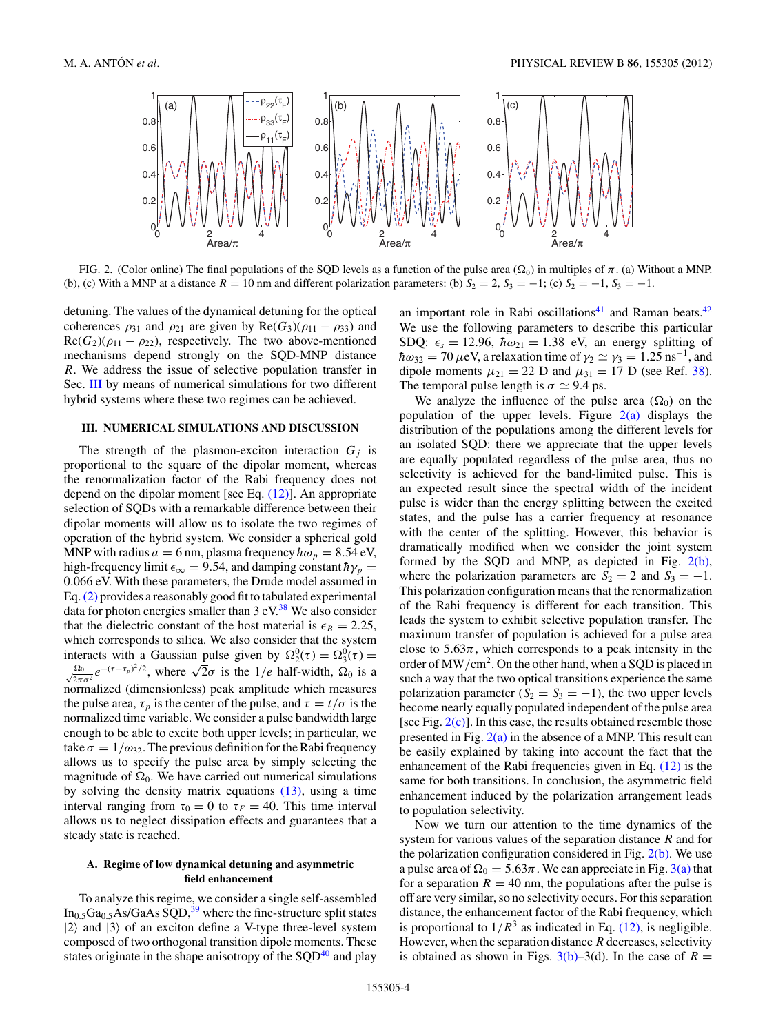<span id="page-3-0"></span>

FIG. 2. (Color online) The final populations of the SQD levels as a function of the pulse area  $(\Omega_0)$  in multiples of  $\pi$ . (a) Without a MNP. (b), (c) With a MNP at a distance  $R = 10$  nm and different polarization parameters: (b)  $S_2 = 2$ ,  $S_3 = -1$ ; (c)  $S_2 = -1$ ,  $S_3 = -1$ .

detuning. The values of the dynamical detuning for the optical coherences  $\rho_{31}$  and  $\rho_{21}$  are given by Re( $G_3$ )( $\rho_{11} - \rho_{33}$ ) and  $\text{Re}(G_2)(\rho_{11} - \rho_{22})$ , respectively. The two above-mentioned mechanisms depend strongly on the SQD-MNP distance *R*. We address the issue of selective population transfer in Sec. III by means of numerical simulations for two different hybrid systems where these two regimes can be achieved.

## **III. NUMERICAL SIMULATIONS AND DISCUSSION**

The strength of the plasmon-exciton interaction  $G_i$  is proportional to the square of the dipolar moment, whereas the renormalization factor of the Rabi frequency does not depend on the dipolar moment [see Eq. [\(12\)\]](#page-2-0). An appropriate selection of SQDs with a remarkable difference between their dipolar moments will allow us to isolate the two regimes of operation of the hybrid system. We consider a spherical gold MNP with radius  $a = 6$  nm, plasma frequency  $\hbar \omega_p = 8.54 \text{ eV}$ , high-frequency limit  $\epsilon_{\infty} = 9.54$ , and damping constant  $\hbar \gamma_p =$ 0*.*066 eV. With these parameters, the Drude model assumed in Eq.[\(2\)](#page-1-0) provides a reasonably good fit to tabulated experimental data for photon energies smaller than  $3 \text{ eV}^{38}$  $3 \text{ eV}^{38}$  $3 \text{ eV}^{38}$  We also consider that the dielectric constant of the host material is  $\epsilon_B = 2.25$ , which corresponds to silica. We also consider that the system interacts with a Gaussian pulse given by  $\Omega_2^0(\tau) = \Omega_3^0(\tau) =$  $\frac{\Omega_0}{\sqrt{2\pi\sigma^2}}e^{-(\tau-\tau_p)^2/2}$ , where  $\sqrt{2\sigma}$  is the 1*/e* half-width,  $\Omega_0$  is a normalized (dimensionless) peak amplitude which measures the pulse area,  $\tau_p$  is the center of the pulse, and  $\tau = t/\sigma$  is the normalized time variable. We consider a pulse bandwidth large enough to be able to excite both upper levels; in particular, we take  $\sigma = 1/\omega_{32}$ . The previous definition for the Rabi frequency allows us to specify the pulse area by simply selecting the magnitude of  $\Omega_0$ . We have carried out numerical simulations by solving the density matrix equations [\(13\),](#page-2-0) using a time interval ranging from  $\tau_0 = 0$  to  $\tau_F = 40$ . This time interval allows us to neglect dissipation effects and guarantees that a steady state is reached.

#### **A. Regime of low dynamical detuning and asymmetric field enhancement**

To analyze this regime, we consider a single self-assembled  $In_0$ <sub>5</sub>Ga<sub>0</sub>  $_5$ As/GaAs SQD,<sup>[39](#page-7-0)</sup> where the fine-structure split states  $|2\rangle$  and  $|3\rangle$  of an exciton define a V-type three-level system composed of two orthogonal transition dipole moments. These states originate in the shape anisotropy of the  $SQD<sup>40</sup>$  $SQD<sup>40</sup>$  $SQD<sup>40</sup>$  and play

an important role in Rabi oscillations<sup>[41](#page-8-0)</sup> and Raman beats.<sup>42</sup> We use the following parameters to describe this particular SDQ:  $\epsilon_s = 12.96$ ,  $\hbar \omega_{21} = 1.38$  eV, an energy splitting of  $h\omega_{32} = 70 \,\mu\text{eV}$ , a relaxation time of  $\gamma_2 \simeq \gamma_3 = 1.25 \,\text{ns}^{-1}$ , and dipole moments  $\mu_{21} = 22$  D and  $\mu_{31} = 17$  D (see Ref. [38\)](#page-7-0). The temporal pulse length is  $\sigma \simeq 9.4$  ps.

We analyze the influence of the pulse area  $(\Omega_0)$  on the population of the upper levels. Figure  $2(a)$  displays the distribution of the populations among the different levels for an isolated SQD: there we appreciate that the upper levels are equally populated regardless of the pulse area, thus no selectivity is achieved for the band-limited pulse. This is an expected result since the spectral width of the incident pulse is wider than the energy splitting between the excited states, and the pulse has a carrier frequency at resonance with the center of the splitting. However, this behavior is dramatically modified when we consider the joint system formed by the SQD and MNP, as depicted in Fig. 2(b), where the polarization parameters are  $S_2 = 2$  and  $S_3 = -1$ . This polarization configuration means that the renormalization of the Rabi frequency is different for each transition. This leads the system to exhibit selective population transfer. The maximum transfer of population is achieved for a pulse area close to  $5.63\pi$ , which corresponds to a peak intensity in the order of MW*/*cm2. On the other hand, when a SQD is placed in such a way that the two optical transitions experience the same polarization parameter  $(S_2 = S_3 = -1)$ , the two upper levels become nearly equally populated independent of the pulse area [see Fig.  $2(c)$ ]. In this case, the results obtained resemble those presented in Fig.  $2(a)$  in the absence of a MNP. This result can be easily explained by taking into account the fact that the enhancement of the Rabi frequencies given in Eq. [\(12\)](#page-2-0) is the same for both transitions. In conclusion, the asymmetric field enhancement induced by the polarization arrangement leads to population selectivity.

Now we turn our attention to the time dynamics of the system for various values of the separation distance *R* and for the polarization configuration considered in Fig.  $2(b)$ . We use a pulse area of  $\Omega_0 = 5.63\pi$ . We can appreciate in Fig. [3\(a\)](#page-4-0) that for a separation  $R = 40$  nm, the populations after the pulse is off are very similar, so no selectivity occurs. For this separation distance, the enhancement factor of the Rabi frequency, which is proportional to  $1/R^3$  as indicated in Eq. [\(12\),](#page-2-0) is negligible. However, when the separation distance *R* decreases, selectivity is obtained as shown in Figs.  $3(b)$ –3(d). In the case of  $R =$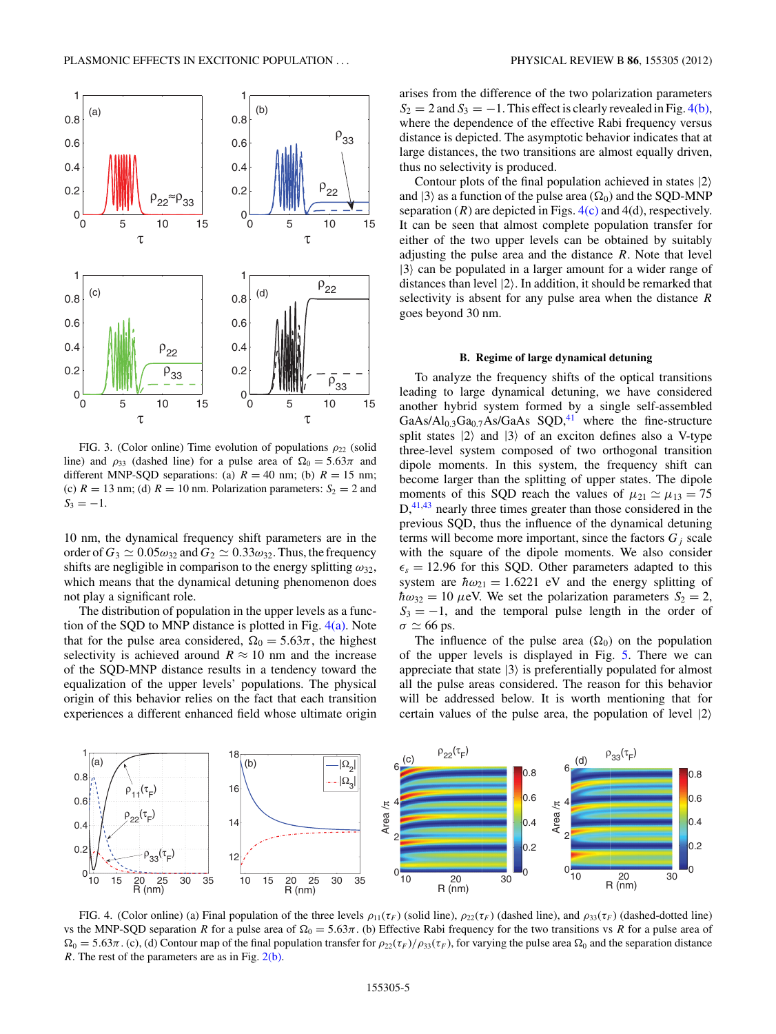<span id="page-4-0"></span>

FIG. 3. (Color online) Time evolution of populations  $\rho_{22}$  (solid line) and  $\rho_{33}$  (dashed line) for a pulse area of  $\Omega_0 = 5.63\pi$  and different MNP-SQD separations: (a)  $R = 40$  nm; (b)  $R = 15$  nm; (c)  $R = 13$  nm; (d)  $R = 10$  nm. Polarization parameters:  $S_2 = 2$  and  $S_3 = -1$ .

10 nm, the dynamical frequency shift parameters are in the order of  $G_3 \simeq 0.05\omega_{32}$  and  $G_2 \simeq 0.33\omega_{32}$ . Thus, the frequency shifts are negligible in comparison to the energy splitting  $\omega_{32}$ , which means that the dynamical detuning phenomenon does not play a significant role.

The distribution of population in the upper levels as a function of the SQD to MNP distance is plotted in Fig.  $4(a)$ . Note that for the pulse area considered,  $\Omega_0 = 5.63\pi$ , the highest selectivity is achieved around  $R \approx 10$  nm and the increase of the SQD-MNP distance results in a tendency toward the equalization of the upper levels' populations. The physical origin of this behavior relies on the fact that each transition experiences a different enhanced field whose ultimate origin arises from the difference of the two polarization parameters  $S_2 = 2$  and  $S_3 = -1$ . This effect is clearly revealed in Fig. 4(b), where the dependence of the effective Rabi frequency versus distance is depicted. The asymptotic behavior indicates that at large distances, the two transitions are almost equally driven, thus no selectivity is produced.

Contour plots of the final population achieved in states |2 and  $|3\rangle$  as a function of the pulse area  $(\Omega_0)$  and the SQD-MNP separation  $(R)$  are depicted in Figs.  $4(c)$  and  $4(d)$ , respectively. It can be seen that almost complete population transfer for either of the two upper levels can be obtained by suitably adjusting the pulse area and the distance *R*. Note that level |3- can be populated in a larger amount for a wider range of distances than level  $|2\rangle$ . In addition, it should be remarked that selectivity is absent for any pulse area when the distance *R* goes beyond 30 nm.

#### **B. Regime of large dynamical detuning**

To analyze the frequency shifts of the optical transitions leading to large dynamical detuning, we have considered another hybrid system formed by a single self-assembled GaAs/Al<sub>0.3</sub>Ga<sub>0.7</sub>As/GaAs SQD,<sup>[41](#page-8-0)</sup> where the fine-structure split states  $|2\rangle$  and  $|3\rangle$  of an exciton defines also a V-type three-level system composed of two orthogonal transition dipole moments. In this system, the frequency shift can become larger than the splitting of upper states. The dipole moments of this SQD reach the values of  $\mu_{21} \simeq \mu_{13} = 75$  $D<sub>1</sub><sup>41,43</sup>$  $D<sub>1</sub><sup>41,43</sup>$  $D<sub>1</sub><sup>41,43</sup>$  nearly three times greater than those considered in the previous SQD, thus the influence of the dynamical detuning terms will become more important, since the factors  $G_i$  scale with the square of the dipole moments. We also consider  $\epsilon_s = 12.96$  for this SQD. Other parameters adapted to this system are  $\hbar \omega_{21} = 1.6221$  eV and the energy splitting of  $\hbar \omega_{32} = 10 \mu$ eV. We set the polarization parameters  $S_2 = 2$ ,  $S_3 = -1$ , and the temporal pulse length in the order of  $\sigma \simeq 66$  ps.

The influence of the pulse area  $(\Omega_0)$  on the population of the upper levels is displayed in Fig. [5.](#page-5-0) There we can appreciate that state  $|3\rangle$  is preferentially populated for almost all the pulse areas considered. The reason for this behavior will be addressed below. It is worth mentioning that for certain values of the pulse area, the population of level  $|2\rangle$ 



FIG. 4. (Color online) (a) Final population of the three levels  $\rho_{11}(\tau_F)$  (solid line),  $\rho_{22}(\tau_F)$  (dashed line), and  $\rho_{33}(\tau_F)$  (dashed-dotted line) vs the MNP-SQD separation *R* for a pulse area of  $\Omega_0 = 5.63\pi$ . (b) Effective Rabi frequency for the two transitions vs *R* for a pulse area of  $Ω<sub>0</sub> = 5.63π$ . (c), (d) Contour map of the final population transfer for  $ρ<sub>22</sub>(τ<sub>F</sub>)/ρ<sub>33</sub>(τ<sub>F</sub>)$ , for varying the pulse area  $Ω<sub>0</sub>$  and the separation distance *R*. The rest of the parameters are as in Fig. [2\(b\).](#page-3-0)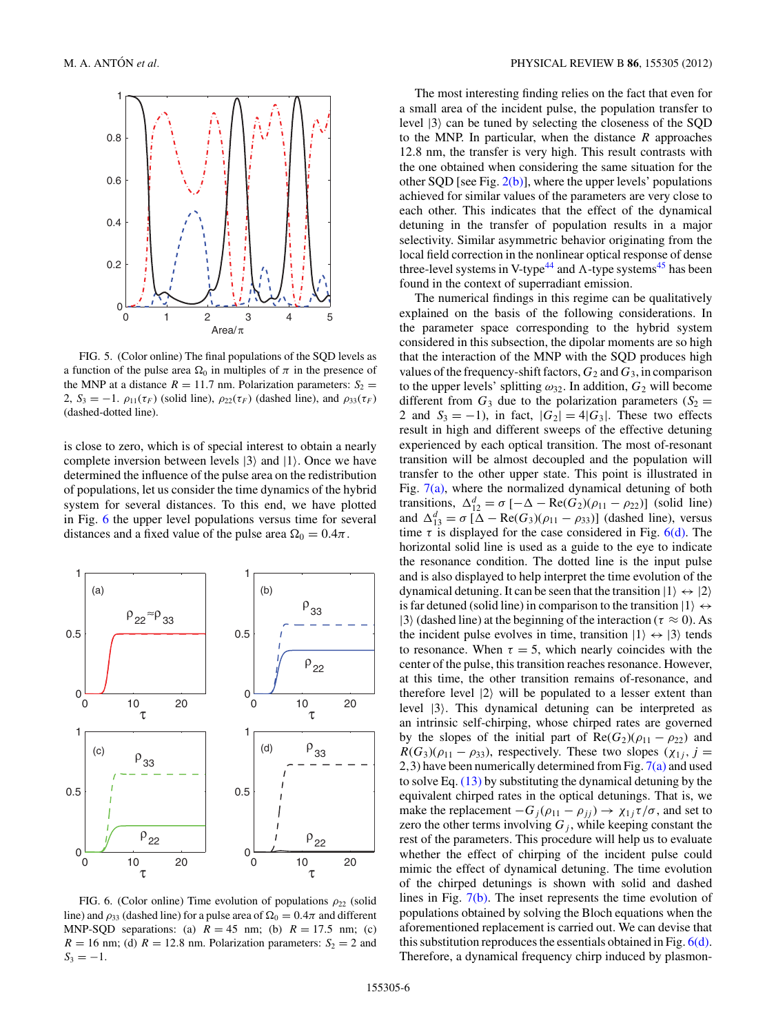<span id="page-5-0"></span>

FIG. 5. (Color online) The final populations of the SQD levels as a function of the pulse area  $\Omega_0$  in multiples of  $\pi$  in the presence of the MNP at a distance  $R = 11.7$  nm. Polarization parameters:  $S_2$ 2,  $S_3 = -1$ .  $\rho_{11}(\tau_F)$  (solid line),  $\rho_{22}(\tau_F)$  (dashed line), and  $\rho_{33}(\tau_F)$ (dashed-dotted line).

is close to zero, which is of special interest to obtain a nearly complete inversion between levels  $|3\rangle$  and  $|1\rangle$ . Once we have determined the influence of the pulse area on the redistribution of populations, let us consider the time dynamics of the hybrid system for several distances. To this end, we have plotted in Fig. 6 the upper level populations versus time for several distances and a fixed value of the pulse area  $\Omega_0 = 0.4\pi$ .



FIG. 6. (Color online) Time evolution of populations  $\rho_{22}$  (solid line) and  $\rho_{33}$  (dashed line) for a pulse area of  $\Omega_0 = 0.4\pi$  and different MNP-SQD separations: (a)  $R = 45$  nm; (b)  $R = 17.5$  nm; (c)  $R = 16$  nm; (d)  $R = 12.8$  nm. Polarization parameters:  $S_2 = 2$  and  $S_3 = -1$ .

The most interesting finding relies on the fact that even for a small area of the incident pulse, the population transfer to level  $|3\rangle$  can be tuned by selecting the closeness of the SQD to the MNP. In particular, when the distance *R* approaches 12*.*8 nm, the transfer is very high. This result contrasts with the one obtained when considering the same situation for the other SQD [see Fig.  $2(b)$ ], where the upper levels' populations achieved for similar values of the parameters are very close to each other. This indicates that the effect of the dynamical detuning in the transfer of population results in a major selectivity. Similar asymmetric behavior originating from the local field correction in the nonlinear optical response of dense three-level systems in V-type<sup>[44](#page-8-0)</sup> and Λ-type systems<sup>[45](#page-8-0)</sup> has been found in the context of superradiant emission.

The numerical findings in this regime can be qualitatively explained on the basis of the following considerations. In the parameter space corresponding to the hybrid system considered in this subsection, the dipolar moments are so high that the interaction of the MNP with the SQD produces high values of the frequency-shift factors,  $G_2$  and  $G_3$ , in comparison to the upper levels' splitting  $\omega_{32}$ . In addition,  $G_2$  will become different from  $G_3$  due to the polarization parameters  $(S_2 =$ 2 and  $S_3 = -1$ ), in fact,  $|G_2| = 4|G_3|$ . These two effects result in high and different sweeps of the effective detuning experienced by each optical transition. The most of-resonant transition will be almost decoupled and the population will transfer to the other upper state. This point is illustrated in Fig.  $7(a)$ , where the normalized dynamical detuning of both transitions,  $\Delta_{12}^d = \sigma \left[ -\Delta - \text{Re}(G_2)(\rho_{11} - \rho_{22}) \right]$  (solid line) and  $\Delta_{13}^d = \sigma \left[ \Delta - \text{Re}(G_3)(\rho_{11} - \rho_{33}) \right]$  (dashed line), versus time  $\tau$  is displayed for the case considered in Fig.  $6(d)$ . The horizontal solid line is used as a guide to the eye to indicate the resonance condition. The dotted line is the input pulse and is also displayed to help interpret the time evolution of the dynamical detuning. It can be seen that the transition  $|1\rangle \leftrightarrow |2\rangle$ is far detuned (solid line) in comparison to the transition  $|1\rangle \leftrightarrow$  $|3\rangle$  (dashed line) at the beginning of the interaction ( $\tau \approx 0$ ). As the incident pulse evolves in time, transition  $|1\rangle \leftrightarrow |3\rangle$  tends to resonance. When  $\tau = 5$ , which nearly coincides with the center of the pulse, this transition reaches resonance. However, at this time, the other transition remains of-resonance, and therefore level  $|2\rangle$  will be populated to a lesser extent than level  $|3\rangle$ . This dynamical detuning can be interpreted as an intrinsic self-chirping, whose chirped rates are governed by the slopes of the initial part of  $\text{Re}(G_2)(\rho_{11} - \rho_{22})$  and  $R(G_3)(\rho_{11} - \rho_{33})$ , respectively. These two slopes ( $\chi_{1j}$ , *j* = 2*,*3) have been numerically determined from Fig. [7\(a\)](#page-6-0) and used to solve Eq. [\(13\)](#page-2-0) by substituting the dynamical detuning by the equivalent chirped rates in the optical detunings. That is, we make the replacement  $-G_j(\rho_{11} - \rho_{jj}) \rightarrow \chi_{1j} \tau / \sigma$ , and set to zero the other terms involving  $G_j$ , while keeping constant the rest of the parameters. This procedure will help us to evaluate whether the effect of chirping of the incident pulse could mimic the effect of dynamical detuning. The time evolution of the chirped detunings is shown with solid and dashed lines in Fig. [7\(b\).](#page-6-0) The inset represents the time evolution of populations obtained by solving the Bloch equations when the aforementioned replacement is carried out. We can devise that this substitution reproduces the essentials obtained in Fig.  $6(d)$ . Therefore, a dynamical frequency chirp induced by plasmon-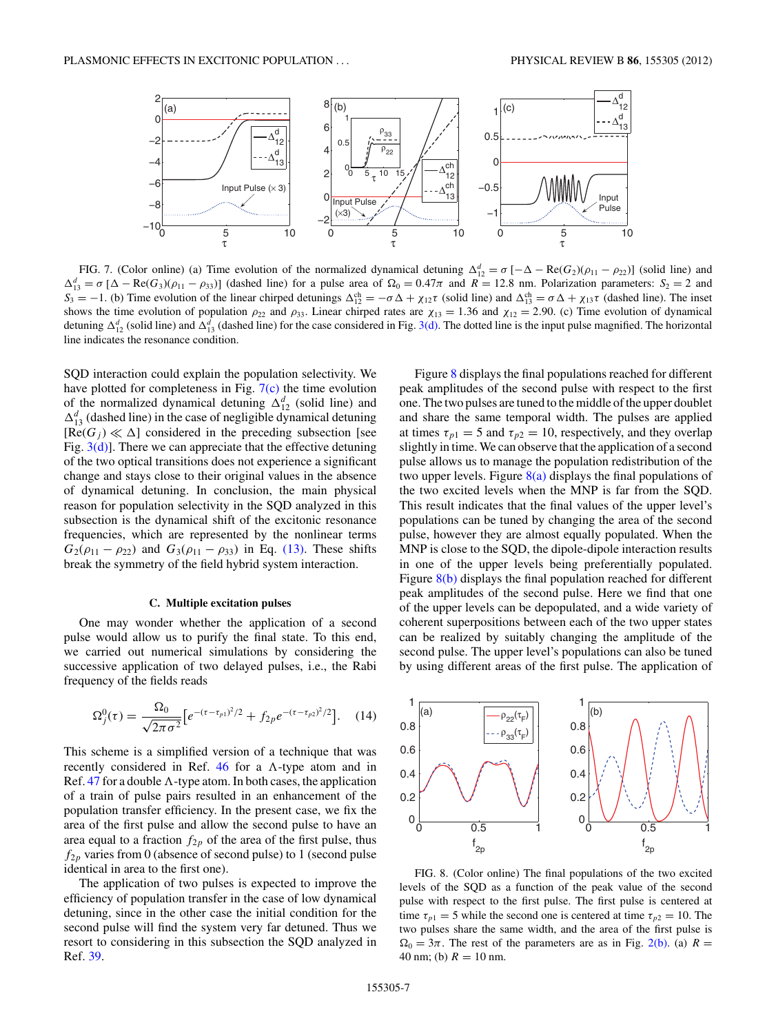<span id="page-6-0"></span>

FIG. 7. (Color online) (a) Time evolution of the normalized dynamical detuning  $\Delta_{12}^d = \sigma \left[ -\Delta - \text{Re}(G_2)(\rho_{11} - \rho_{22}) \right]$  (solid line) and  $\Delta_{13}^d = \sigma [\Delta - \text{Re}(G_3)(\rho_{11} - \rho_{33})]$  (dashed line) for a pulse area of  $\Omega_0 = 0.47\pi$  and  $R = 12.8$  nm. Polarization parameters:  $S_2 = 2$  and *S*<sub>3</sub> = −1. (b) Time evolution of the linear chirped detunings  $\Delta_{12}^{ch} = -\sigma \Delta + \chi_{12} \tau$  (solid line) and  $\Delta_{13}^{ch} = \sigma \Delta + \chi_{13} \tau$  (dashed line). The inset shows the time evolution of population  $\rho_{22}$  and  $\rho_{33}$ . Linear chirped rates are  $\chi_{13} = 1.36$  and  $\chi_{12} = 2.90$ . (c) Time evolution of dynamical detuning  $\Delta_{12}^d$  (solid line) and  $\Delta_{13}^d$  (dashed line) for the case considered in Fig. [3\(d\).](#page-4-0) The dotted line is the input pulse magnified. The horizontal line indicates the resonance condition.

SQD interaction could explain the population selectivity. We have plotted for completeness in Fig.  $7(c)$  the time evolution of the normalized dynamical detuning  $\Delta_{12}^d$  (solid line) and  $\Delta_{13}^d$  (dashed line) in the case of negligible dynamical detuning  $[Re(G_i) \ll \Delta]$  considered in the preceding subsection [see Fig.  $3(d)$ ]. There we can appreciate that the effective detuning of the two optical transitions does not experience a significant change and stays close to their original values in the absence of dynamical detuning. In conclusion, the main physical reason for population selectivity in the SQD analyzed in this subsection is the dynamical shift of the excitonic resonance frequencies, which are represented by the nonlinear terms  $G_2(\rho_{11} - \rho_{22})$  and  $G_3(\rho_{11} - \rho_{33})$  in Eq. [\(13\).](#page-2-0) These shifts break the symmetry of the field hybrid system interaction.

## **C. Multiple excitation pulses**

One may wonder whether the application of a second pulse would allow us to purify the final state. To this end, we carried out numerical simulations by considering the successive application of two delayed pulses, i.e., the Rabi frequency of the fields reads

$$
\Omega_j^0(\tau) = \frac{\Omega_0}{\sqrt{2\pi\sigma^2}} \left[ e^{-(\tau - \tau_{p1})^2/2} + f_{2p} e^{-(\tau - \tau_{p2})^2/2} \right]. \tag{14}
$$

This scheme is a simplified version of a technique that was recently considered in Ref. [46](#page-8-0) for a  $\Lambda$ -type atom and in Ref.  $47$  for a double  $\Lambda$ -type atom. In both cases, the application of a train of pulse pairs resulted in an enhancement of the population transfer efficiency. In the present case, we fix the area of the first pulse and allow the second pulse to have an area equal to a fraction  $f_{2p}$  of the area of the first pulse, thus  $f_{2p}$  varies from 0 (absence of second pulse) to 1 (second pulse identical in area to the first one).

The application of two pulses is expected to improve the efficiency of population transfer in the case of low dynamical detuning, since in the other case the initial condition for the second pulse will find the system very far detuned. Thus we resort to considering in this subsection the SQD analyzed in Ref. [39.](#page-7-0)

Figure 8 displays the final populations reached for different peak amplitudes of the second pulse with respect to the first one. The two pulses are tuned to the middle of the upper doublet and share the same temporal width. The pulses are applied at times  $\tau_{p1} = 5$  and  $\tau_{p2} = 10$ , respectively, and they overlap slightly in time. We can observe that the application of a second pulse allows us to manage the population redistribution of the two upper levels. Figure  $8(a)$  displays the final populations of the two excited levels when the MNP is far from the SQD. This result indicates that the final values of the upper level's populations can be tuned by changing the area of the second pulse, however they are almost equally populated. When the MNP is close to the SQD, the dipole-dipole interaction results in one of the upper levels being preferentially populated. Figure 8(b) displays the final population reached for different peak amplitudes of the second pulse. Here we find that one of the upper levels can be depopulated, and a wide variety of coherent superpositions between each of the two upper states can be realized by suitably changing the amplitude of the second pulse. The upper level's populations can also be tuned by using different areas of the first pulse. The application of



FIG. 8. (Color online) The final populations of the two excited levels of the SQD as a function of the peak value of the second pulse with respect to the first pulse. The first pulse is centered at time  $\tau_{p1} = 5$  while the second one is centered at time  $\tau_{p2} = 10$ . The two pulses share the same width, and the area of the first pulse is  $\Omega_0 = 3\pi$ . The rest of the parameters are as in Fig. [2\(b\).](#page-3-0) (a) *R* = 40 nm; (b)  $R = 10$  nm.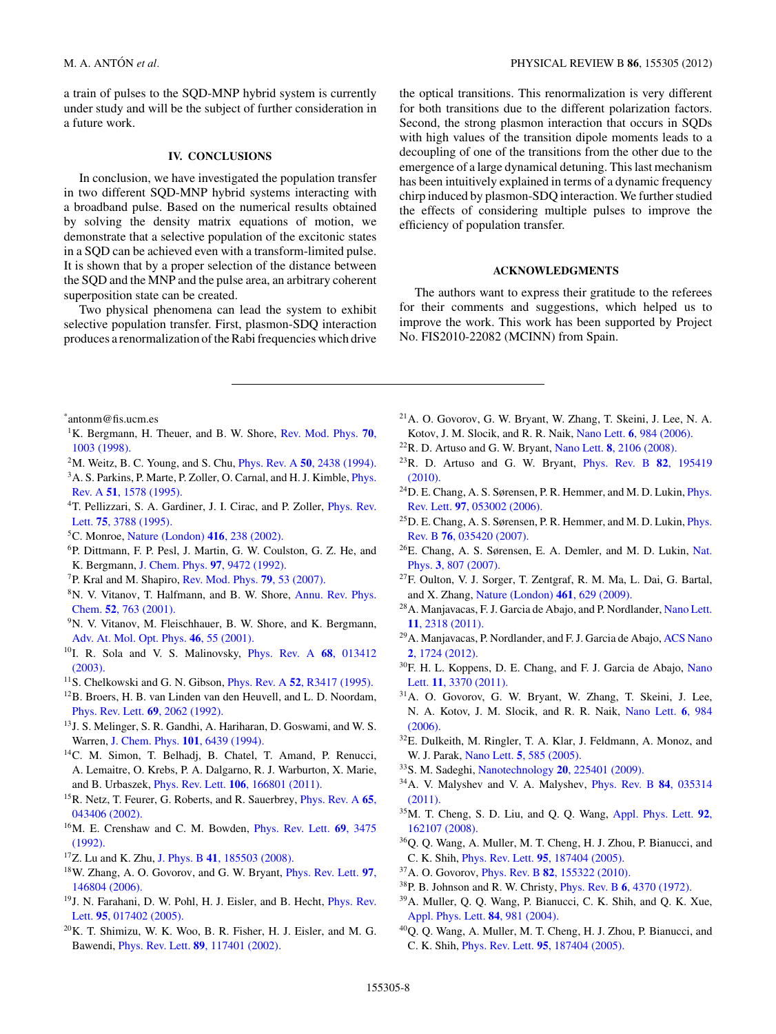<span id="page-7-0"></span>a train of pulses to the SQD-MNP hybrid system is currently under study and will be the subject of further consideration in a future work.

## **IV. CONCLUSIONS**

In conclusion, we have investigated the population transfer in two different SQD-MNP hybrid systems interacting with a broadband pulse. Based on the numerical results obtained by solving the density matrix equations of motion, we demonstrate that a selective population of the excitonic states in a SQD can be achieved even with a transform-limited pulse. It is shown that by a proper selection of the distance between the SQD and the MNP and the pulse area, an arbitrary coherent superposition state can be created.

Two physical phenomena can lead the system to exhibit selective population transfer. First, plasmon-SDQ interaction produces a renormalization of the Rabi frequencies which drive the optical transitions. This renormalization is very different for both transitions due to the different polarization factors. Second, the strong plasmon interaction that occurs in SQDs with high values of the transition dipole moments leads to a decoupling of one of the transitions from the other due to the emergence of a large dynamical detuning. This last mechanism has been intuitively explained in terms of a dynamic frequency chirp induced by plasmon-SDQ interaction. We further studied the effects of considering multiple pulses to improve the efficiency of population transfer.

## **ACKNOWLEDGMENTS**

The authors want to express their gratitude to the referees for their comments and suggestions, which helped us to improve the work. This work has been supported by Project No. FIS2010-22082 (MCINN) from Spain.

\* antonm@fis.ucm.es

- <sup>1</sup>K. Bergmann, H. Theuer, and B. W. Shore, [Rev. Mod. Phys.](http://dx.doi.org/10.1103/RevModPhys.70.1003) **70**, [1003 \(1998\).](http://dx.doi.org/10.1103/RevModPhys.70.1003)
- 2M. Weitz, B. C. Young, and S. Chu, Phys. Rev. A **50**[, 2438 \(1994\).](http://dx.doi.org/10.1103/PhysRevA.50.2438)
- <sup>3</sup>A. S. Parkins, P. Marte, P. Zoller, O. Carnal, and H. J. Kimble, *[Phys.](http://dx.doi.org/10.1103/PhysRevA.51.1578)* Rev. A **51**[, 1578 \(1995\).](http://dx.doi.org/10.1103/PhysRevA.51.1578)
- <sup>4</sup>T. Pellizzari, S. A. Gardiner, J. I. Cirac, and P. Zoller, *[Phys. Rev.](http://dx.doi.org/10.1103/PhysRevLett.75.3788)* Lett. **75**[, 3788 \(1995\).](http://dx.doi.org/10.1103/PhysRevLett.75.3788)
- 5C. Monroe, [Nature \(London\)](http://dx.doi.org/10.1038/416238a) **416**, 238 (2002).
- 6P. Dittmann, F. P. Pesl, J. Martin, G. W. Coulston, G. Z. He, and K. Bergmann, [J. Chem. Phys.](http://dx.doi.org/10.1063/1.463271) **97**, 9472 (1992).
- 7P. Kral and M. Shapiro, [Rev. Mod. Phys.](http://dx.doi.org/10.1103/RevModPhys.79.53) **79**, 53 (2007).
- 8N. V. Vitanov, T. Halfmann, and B. W. Shore, [Annu. Rev. Phys.](http://dx.doi.org/10.1146/annurev.physchem.52.1.763) Chem. **52**[, 763 \(2001\).](http://dx.doi.org/10.1146/annurev.physchem.52.1.763)
- <sup>9</sup>N. V. Vitanov, M. Fleischhauer, B. W. Shore, and K. Bergmann, [Adv. At. Mol. Opt. Phys.](http://dx.doi.org/10.1016/S1049-250X(01)80063-X) **46**, 55 (2001).
- 10I. R. Sola and V. S. Malinovsky, [Phys. Rev. A](http://dx.doi.org/10.1103/PhysRevA.68.013412) **68**, 013412 [\(2003\).](http://dx.doi.org/10.1103/PhysRevA.68.013412)
- 11S. Chelkowski and G. N. Gibson, Phys. Rev. A **52**[, R3417 \(1995\).](http://dx.doi.org/10.1103/PhysRevA.52.R3417)
- 12B. Broers, H. B. van Linden van den Heuvell, and L. D. Noordam, [Phys. Rev. Lett.](http://dx.doi.org/10.1103/PhysRevLett.69.2062) **69**, 2062 (1992).
- <sup>13</sup> J. S. Melinger, S. R. Gandhi, A. Hariharan, D. Goswami, and W. S. Warren, [J. Chem. Phys.](http://dx.doi.org/10.1063/1.468368) **101**, 6439 (1994).
- 14C. M. Simon, T. Belhadj, B. Chatel, T. Amand, P. Renucci, A. Lemaitre, O. Krebs, P. A. Dalgarno, R. J. Warburton, X. Marie, and B. Urbaszek, Phys. Rev. Lett. **106**[, 166801 \(2011\).](http://dx.doi.org/10.1103/PhysRevLett.106.166801)
- 15R. Netz, T. Feurer, G. Roberts, and R. Sauerbrey, [Phys. Rev. A](http://dx.doi.org/10.1103/PhysRevA.65.043406) **65**, [043406 \(2002\).](http://dx.doi.org/10.1103/PhysRevA.65.043406)
- 16M. E. Crenshaw and C. M. Bowden, [Phys. Rev. Lett.](http://dx.doi.org/10.1103/PhysRevLett.69.3475) **69**, 3475 [\(1992\).](http://dx.doi.org/10.1103/PhysRevLett.69.3475)
- 17Z. Lu and K. Zhu, J. Phys. B **41**[, 185503 \(2008\).](http://dx.doi.org/10.1088/0953-4075/41/18/185503)
- 18W. Zhang, A. O. Govorov, and G. W. Bryant, [Phys. Rev. Lett.](http://dx.doi.org/10.1103/PhysRevLett.97.146804) **97**, [146804 \(2006\).](http://dx.doi.org/10.1103/PhysRevLett.97.146804)
- <sup>19</sup>J. N. Farahani, D. W. Pohl, H. J. Eisler, and B. Hecht, *[Phys. Rev.](http://dx.doi.org/10.1103/PhysRevLett.95.017402)* Lett. **95**[, 017402 \(2005\).](http://dx.doi.org/10.1103/PhysRevLett.95.017402)
- $^{20}$ K. T. Shimizu, W. K. Woo, B. R. Fisher, H. J. Eisler, and M. G. Bawendi, Phys. Rev. Lett. **89**[, 117401 \(2002\).](http://dx.doi.org/10.1103/PhysRevLett.89.117401)
- $21$ A. O. Govorov, G. W. Bryant, W. Zhang, T. Skeini, J. Lee, N. A. Kotov, J. M. Slocik, and R. R. Naik, Nano Lett. **6**[, 984 \(2006\).](http://dx.doi.org/10.1021/nl0602140)
- 22R. D. Artuso and G. W. Bryant, Nano Lett. **8**[, 2106 \(2008\).](http://dx.doi.org/10.1021/nl800921z)
- 23R. D. Artuso and G. W. Bryant, [Phys. Rev. B](http://dx.doi.org/10.1103/PhysRevB.82.195419) **82**, 195419 [\(2010\).](http://dx.doi.org/10.1103/PhysRevB.82.195419)
- <sup>24</sup>D. E. Chang, A. S. Sørensen, P. R. Hemmer, and M. D. Lukin, *[Phys.](http://dx.doi.org/10.1103/PhysRevLett.97.053002)* Rev. Lett. **97**[, 053002 \(2006\).](http://dx.doi.org/10.1103/PhysRevLett.97.053002)
- 25D. E. Chang, A. S. Sørensen, P. R. Hemmer, and M. D. Lukin, [Phys.](http://dx.doi.org/10.1103/PhysRevB.76.035420) Rev. B **76**[, 035420 \(2007\).](http://dx.doi.org/10.1103/PhysRevB.76.035420)
- 26E. Chang, A. S. Sørensen, E. A. Demler, and M. D. Lukin, [Nat.](http://dx.doi.org/10.1038/nphys708) Phys. **3**[, 807 \(2007\).](http://dx.doi.org/10.1038/nphys708)
- 27F. Oulton, V. J. Sorger, T. Zentgraf, R. M. Ma, L. Dai, G. Bartal, and X. Zhang, [Nature \(London\)](http://dx.doi.org/10.1038/nature08364) **461**, 629 (2009).
- <sup>28</sup>A. Manjavacas, F. J. Garcia de Abajo, and P. Nordlander, [Nano Lett.](http://dx.doi.org/10.1021/nl200579f) **11**[, 2318 \(2011\).](http://dx.doi.org/10.1021/nl200579f)
- <sup>29</sup>A. Manjavacas, P. Nordlander, and F. J. Garcia de Abajo, [ACS Nano](http://dx.doi.org/10.1021/nn204701w) **2**[, 1724 \(2012\).](http://dx.doi.org/10.1021/nn204701w)
- 30F. H. L. Koppens, D. E. Chang, and F. J. Garcia de Abajo, [Nano](http://dx.doi.org/10.1021/nl201771h) Lett. **11**[, 3370 \(2011\).](http://dx.doi.org/10.1021/nl201771h)
- 31A. O. Govorov, G. W. Bryant, W. Zhang, T. Skeini, J. Lee, N. A. Kotov, J. M. Slocik, and R. R. Naik, [Nano Lett.](http://dx.doi.org/10.1021/nl0602140) **6**, 984 [\(2006\).](http://dx.doi.org/10.1021/nl0602140)
- 32E. Dulkeith, M. Ringler, T. A. Klar, J. Feldmann, A. Monoz, and W. J. Parak, Nano Lett. **5**[, 585 \(2005\).](http://dx.doi.org/10.1021/nl0480969)
- 33S. M. Sadeghi, Nanotechnology **20**[, 225401 \(2009\).](http://dx.doi.org/10.1088/0957-4484/20/22/225401)
- 34A. V. Malyshev and V. A. Malyshev, [Phys. Rev. B](http://dx.doi.org/10.1103/PhysRevB.84.035314) **84**, 035314 [\(2011\).](http://dx.doi.org/10.1103/PhysRevB.84.035314)
- 35M. T. Cheng, S. D. Liu, and Q. Q. Wang, [Appl. Phys. Lett.](http://dx.doi.org/10.1063/1.2916826) **92**, [162107 \(2008\).](http://dx.doi.org/10.1063/1.2916826)
- 36Q. Q. Wang, A. Muller, M. T. Cheng, H. J. Zhou, P. Bianucci, and C. K. Shih, Phys. Rev. Lett. **95**[, 187404 \(2005\).](http://dx.doi.org/10.1103/PhysRevLett.95.187404)
- 37A. O. Govorov, Phys. Rev. B **82**[, 155322 \(2010\).](http://dx.doi.org/10.1103/PhysRevB.82.155322)
- 38P. B. Johnson and R. W. Christy, Phys. Rev. B **6**[, 4370 \(1972\).](http://dx.doi.org/10.1103/PhysRevB.6.4370)
- 39A. Muller, Q. Q. Wang, P. Bianucci, C. K. Shih, and Q. K. Xue, [Appl. Phys. Lett.](http://dx.doi.org/10.1063/1.1646462) **84**, 981 (2004).
- 40Q. Q. Wang, A. Muller, M. T. Cheng, H. J. Zhou, P. Bianucci, and C. K. Shih, Phys. Rev. Lett. **95**[, 187404 \(2005\).](http://dx.doi.org/10.1103/PhysRevLett.95.187404)